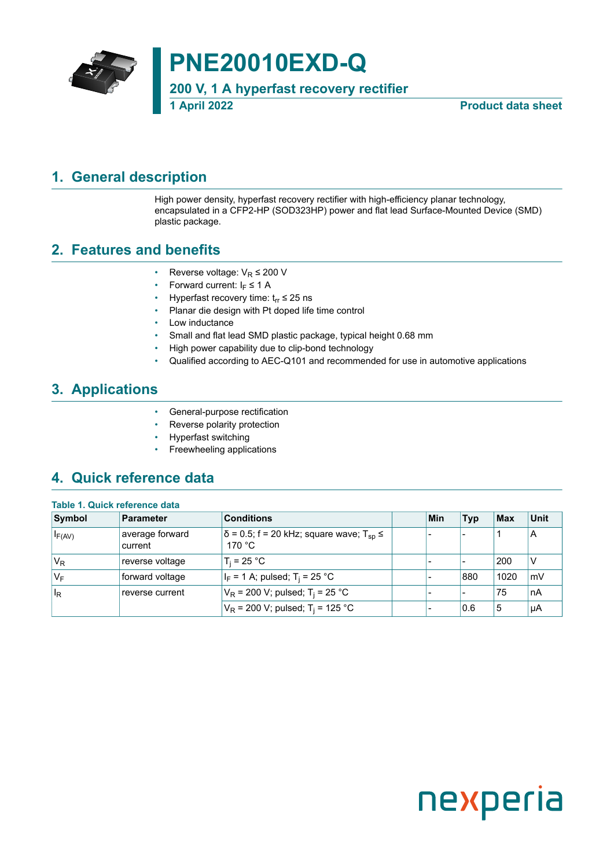

**PNE20010EXD-Q**

**200 V, 1 A hyperfast recovery rectifier**

### <span id="page-0-0"></span>**1. General description**

High power density, hyperfast recovery rectifier with high-efficiency planar technology, encapsulated in a CFP2-HP (SOD323HP) power and flat lead Surface-Mounted Device (SMD) plastic package.

### <span id="page-0-1"></span>**2. Features and benefits**

- Reverse voltage:  $V_R \leq 200$  V
- Forward current:  $I_F \leq 1$  A
- Hyperfast recovery time:  $t_{rr} \leq 25$  ns
- Planar die design with Pt doped life time control
- Low inductance
- Small and flat lead SMD plastic package, typical height 0.68 mm
- High power capability due to clip-bond technology
- Qualified according to AEC-Q101 and recommended for use in automotive applications

### <span id="page-0-2"></span>**3. Applications**

- General-purpose rectification
- Reverse polarity protection
- Hyperfast switching
- Freewheeling applications

### <span id="page-0-3"></span>**4. Quick reference data**

| Table 1. Quick reference data |                            |                                                                            |  |     |            |         |             |
|-------------------------------|----------------------------|----------------------------------------------------------------------------|--|-----|------------|---------|-------------|
| Symbol                        | <b>Parameter</b>           | <b>Conditions</b>                                                          |  | Min | <b>Typ</b> | $ $ Max | <b>Unit</b> |
| $I_{F(AV)}$                   | average forward<br>current | $\delta$ = 0.5; f = 20 kHz; square wave; T <sub>sp</sub> $\leq$<br>170 °C. |  |     |            |         | A           |
| $V_R$                         | reverse voltage            | $T_i = 25 °C$                                                              |  |     |            | 200     | V           |
| $V_F$                         | forward voltage            | $ I_F = 1 A$ ; pulsed; T <sub>i</sub> = 25 °C                              |  |     | 880        | 1020    | mV          |
| $\mathsf{I}_\mathsf{R}$       | reverse current            | $V_R$ = 200 V; pulsed; T <sub>i</sub> = 25 °C                              |  |     |            | 75      | nA          |
|                               |                            | $V_R$ = 200 V; pulsed; T <sub>i</sub> = 125 °C                             |  |     | 0.6        | 5       | μA          |

# nexperia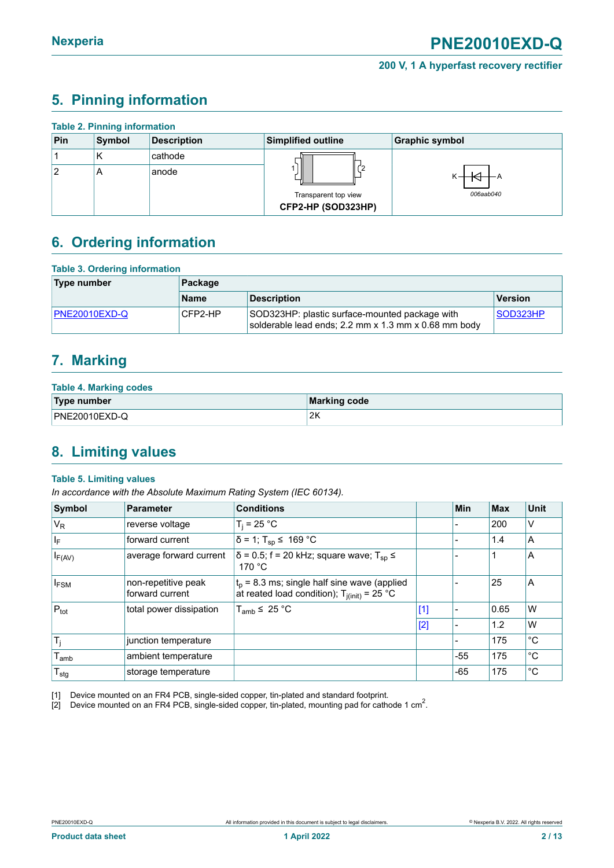### <span id="page-1-1"></span><span id="page-1-0"></span>**5. Pinning information**

| <b>Table 2. Pinning information</b> |        |                    |                                            |                       |  |  |  |
|-------------------------------------|--------|--------------------|--------------------------------------------|-----------------------|--|--|--|
| Pin                                 | Symbol | <b>Description</b> | <b>Simplified outline</b>                  | <b>Graphic symbol</b> |  |  |  |
|                                     | κ      | cathode            |                                            |                       |  |  |  |
| 2                                   | A      | anode              |                                            |                       |  |  |  |
|                                     |        |                    | Transparent top view<br>CFP2-HP (SOD323HP) | 006aab040             |  |  |  |

### <span id="page-1-2"></span>**6. Ordering information**

| <b>Table 3. Ordering information</b> |             |                                                                                                        |                |  |  |  |
|--------------------------------------|-------------|--------------------------------------------------------------------------------------------------------|----------------|--|--|--|
| Type number                          | Package     |                                                                                                        |                |  |  |  |
|                                      | <b>Name</b> | Description                                                                                            | <b>Version</b> |  |  |  |
| <b>PNE20010EXD-Q</b>                 | CFP2-HP     | SOD323HP: plastic surface-mounted package with<br>solderable lead ends; 2.2 mm x 1.3 mm x 0.68 mm body | SOD323HP       |  |  |  |

### <span id="page-1-3"></span>**7. Marking**

| <b>Table 4. Marking codes</b> |                     |  |  |  |
|-------------------------------|---------------------|--|--|--|
| Type number                   | <b>Marking code</b> |  |  |  |
| PNE20010EXD-Q                 | 2ĸ                  |  |  |  |

### <span id="page-1-4"></span>**8. Limiting values**

### **Table 5. Limiting values**

*In accordance with the Absolute Maximum Rating System (IEC 60134).*

| Symbol                      | Parameter                              | <b>Conditions</b>                                                                                 |       | Min   | <b>Max</b> | <b>Unit</b> |
|-----------------------------|----------------------------------------|---------------------------------------------------------------------------------------------------|-------|-------|------------|-------------|
| $V_R$                       | reverse voltage                        | $T_i = 25 °C$                                                                                     |       |       | 200        | V           |
| l <sub>F</sub>              | forward current                        | $\delta$ = 1; T <sub>sp</sub> ≤ 169 °C                                                            |       |       | 1.4        | A           |
| $I_{F(AV)}$                 | average forward current                | $\delta$ = 0.5; f = 20 kHz; square wave; T <sub>sp</sub> $\leq$<br>170 $^{\circ}$ C               |       |       |            | A           |
| <b>IFSM</b>                 | non-repetitive peak<br>forward current | $t_p$ = 8.3 ms; single half sine wave (applied<br>at reated load condition); $T_{j(int)} = 25 °C$ |       |       | 25         | A           |
| $P_{\text{tot}}$            | total power dissipation                | $T_{amb}$ $\leq$ 25 °C                                                                            | $[1]$ |       | 0.65       | W           |
|                             |                                        |                                                                                                   | $[2]$ |       | 1.2        | W           |
| $T_i$                       | junction temperature                   |                                                                                                   |       |       | 175        | °C          |
| $\mathsf{T}_{\mathsf{amb}}$ | ambient temperature                    |                                                                                                   |       | $-55$ | 175        | $^{\circ}C$ |
| $T_{\text{stg}}$            | storage temperature                    |                                                                                                   |       | $-65$ | 175        | °C          |

[1] Device mounted on an FR4 PCB, single-sided copper, tin-plated and standard footprint.

[2] Device mounted on an FR4 PCB, single-sided copper, tin-plated, mounting pad for cathode 1 cm<sup>2</sup>.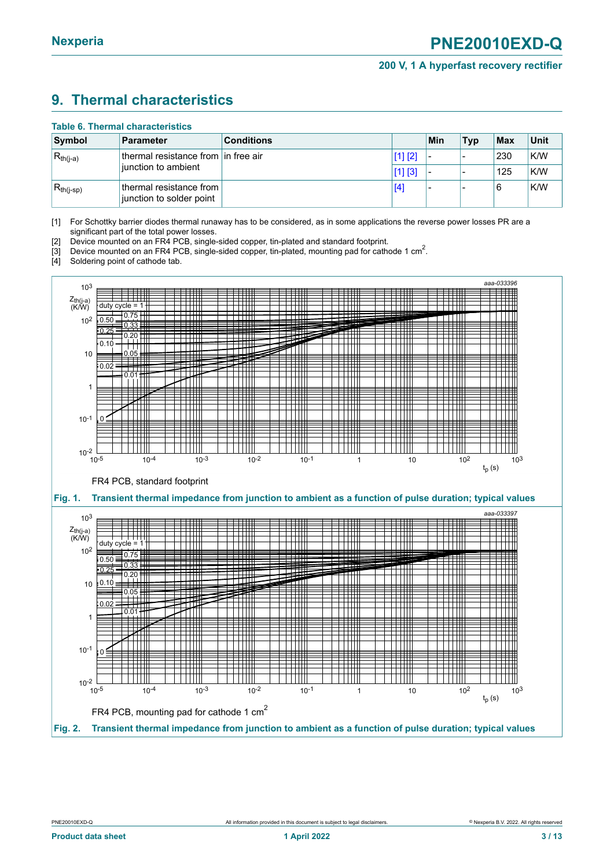# <span id="page-2-1"></span><span id="page-2-0"></span>**9. Thermal characteristics**

#### **Table 6. Thermal characteristics**

| Symbol         | <b>Parameter</b>                                       | <b>Conditions</b> |         | Min                      | <b>Typ</b> | Max | Unit |
|----------------|--------------------------------------------------------|-------------------|---------|--------------------------|------------|-----|------|
| $R_{th(j-a)}$  | ⊺thermal resistance from ∣in free air                  |                   | [1] [2] | $\overline{\phantom{a}}$ |            | 230 | K/W  |
|                | junction to ambient                                    |                   | [1] [3] | $\overline{\phantom{0}}$ |            | 125 | K/W  |
| $R_{th(j-sp)}$ | ⊺thermal resistance from l<br>junction to solder point |                   | [4      | -                        |            | 6   | K/W  |

[1] For Schottky barrier diodes thermal runaway has to be considered, as in some applications the reverse power losses PR are a significant part of the total power losses.

[2] Device mounted on an FR4 PCB, single-sided copper, tin-plated and standard footprint.

<sup>1</sup>3] Device mounted on an FR4 PCB, single-sided copper, tin-plated, mounting pad for cathode 1 cm<sup>2</sup>.

[4] Soldering point of cathode tab.

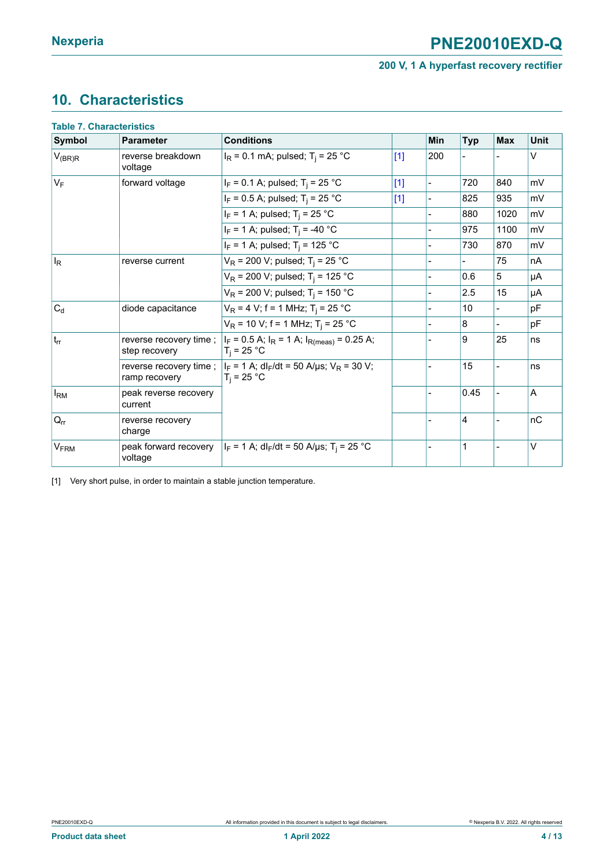# <span id="page-3-1"></span><span id="page-3-0"></span>**10. Characteristics**

| <b>Symbol</b>          | Parameter                        | <b>Conditions</b>                                                                                                     |       | Min                      | <b>Typ</b> | <b>Max</b>     | Unit   |
|------------------------|----------------------------------|-----------------------------------------------------------------------------------------------------------------------|-------|--------------------------|------------|----------------|--------|
| $V_{(BR)R}$            | reverse breakdown<br>voltage     | $I_R$ = 0.1 mA; pulsed; T <sub>i</sub> = 25 °C                                                                        | $[1]$ | 200                      |            |                | V      |
| $V_F$                  | forward voltage                  | $I_F = 0.1$ A; pulsed; $T_i = 25$ °C                                                                                  | $[1]$ | $\overline{\phantom{a}}$ | 720        | 840            | mV     |
|                        |                                  | $I_F = 0.5$ A; pulsed; T <sub>i</sub> = 25 °C                                                                         | $[1]$ |                          | 825        | 935            | mV     |
|                        |                                  | $I_F$ = 1 A; pulsed; T <sub>i</sub> = 25 °C                                                                           |       |                          | 880        | 1020           | mV     |
|                        |                                  | $I_F$ = 1 A; pulsed; T <sub>i</sub> = -40 °C                                                                          |       |                          | 975        | 1100           | mV     |
|                        |                                  | $I_F = 1$ A; pulsed; T <sub>i</sub> = 125 °C                                                                          |       |                          | 730        | 870            | mV     |
| $I_R$                  | reverse current                  | $V_R$ = 200 V; pulsed; T <sub>i</sub> = 25 °C                                                                         |       |                          |            | 75             | nA     |
|                        |                                  | $V_R$ = 200 V; pulsed; T <sub>i</sub> = 125 °C                                                                        |       |                          | 0.6        | 5              | μA     |
|                        |                                  | $V_R$ = 200 V; pulsed; T <sub>i</sub> = 150 °C                                                                        |       |                          | 2.5        | 15             | μA     |
| $C_d$                  | diode capacitance                | $V_R = 4 V$ ; f = 1 MHz; T <sub>i</sub> = 25 °C                                                                       |       |                          | 10         | $\overline{a}$ | pF     |
|                        |                                  | $V_R$ = 10 V; f = 1 MHz; T <sub>i</sub> = 25 °C                                                                       |       |                          | 8          |                | pF     |
| $t_{rr}$               | step recovery                    | reverse recovery time ; $ I_F = 0.5 A$ ; $I_R = 1 A$ ; $I_{R(meas)} = 0.25 A$ ;<br>$T_i = 25 °C$                      |       |                          | 9          | 25             | ns     |
|                        | ramp recovery                    | reverse recovery time ; $ I_F = 1 \text{ A}$ ; dl <sub>F</sub> /dt = 50 A/µs; V <sub>R</sub> = 30 V;<br>$T_i = 25 °C$ |       |                          | 15         |                | ns     |
| $I_{\rm RM}$           | peak reverse recovery<br>current |                                                                                                                       |       |                          | 0.45       |                | A      |
| $Q_{rr}$               | reverse recovery<br>charge       |                                                                                                                       |       |                          | 4          |                | nC     |
| <b>V<sub>FRM</sub></b> | peak forward recovery<br>voltage | $ I_F = 1 A$ ; dl <sub>F</sub> /dt = 50 A/µs; T <sub>i</sub> = 25 °C                                                  |       |                          | 1          |                | $\vee$ |

[1] Very short pulse, in order to maintain a stable junction temperature.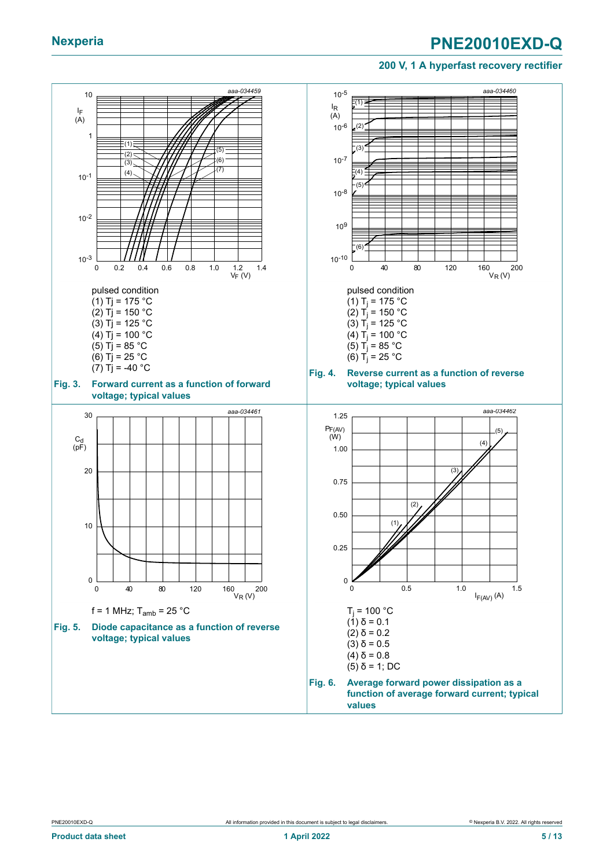#### **200 V, 1 A hyperfast recovery rectifier**

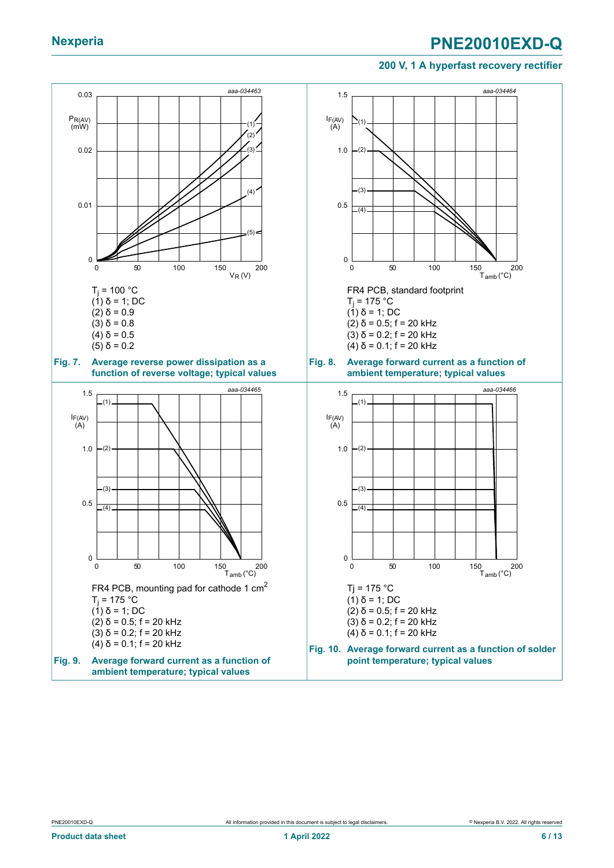#### **200 V, 1 A hyperfast recovery rectifier**

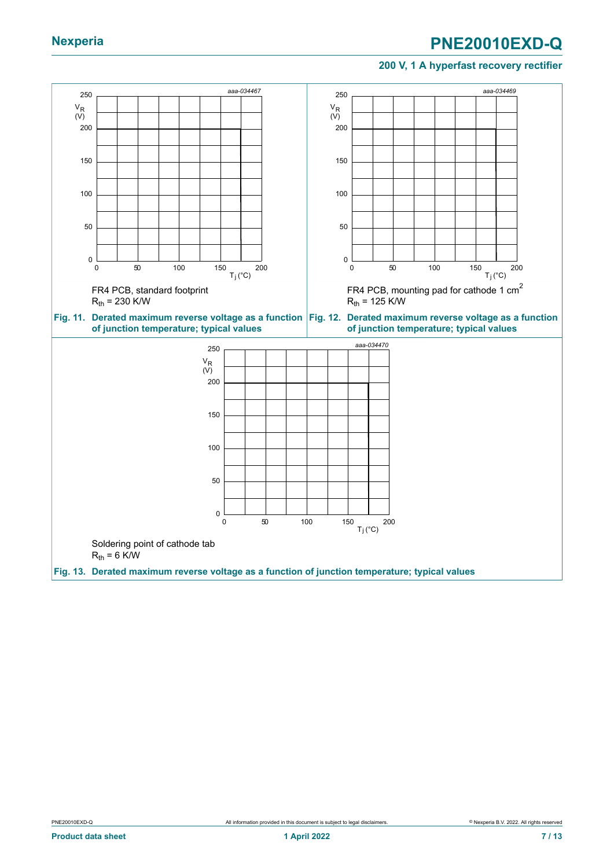#### **200 V, 1 A hyperfast recovery rectifier**

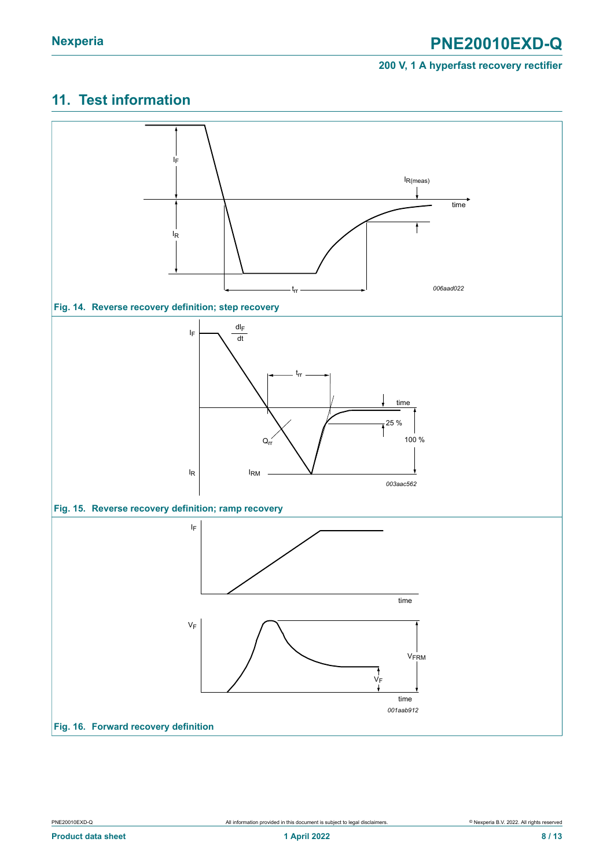# <span id="page-7-0"></span>**11. Test information**

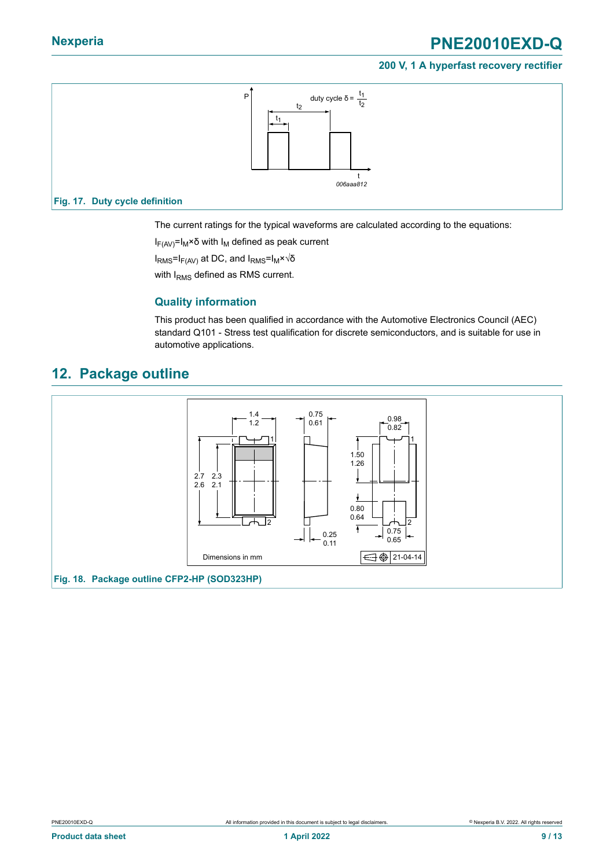#### **200 V, 1 A hyperfast recovery rectifier**



The current ratings for the typical waveforms are calculated according to the equations:

 $I_{F(AV)}=I_M\times\delta$  with  $I_M$  defined as peak current

I<sub>RMS</sub>=I<sub>F(AV)</sub> at DC, and I<sub>RMS</sub>=I<sub>M</sub>×√δ

with I<sub>RMS</sub> defined as RMS current.

### **Quality information**

This product has been qualified in accordance with the Automotive Electronics Council (AEC) standard Q101 - Stress test qualification for discrete semiconductors, and is suitable for use in automotive applications.

### <span id="page-8-0"></span>**12. Package outline**

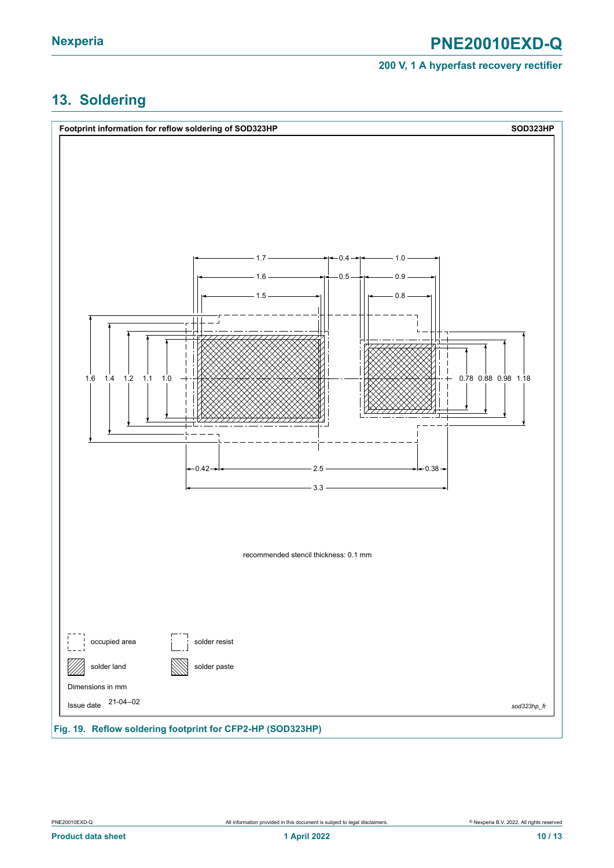### **200 V, 1 A hyperfast recovery rectifier**

# <span id="page-9-0"></span>**13. Soldering**

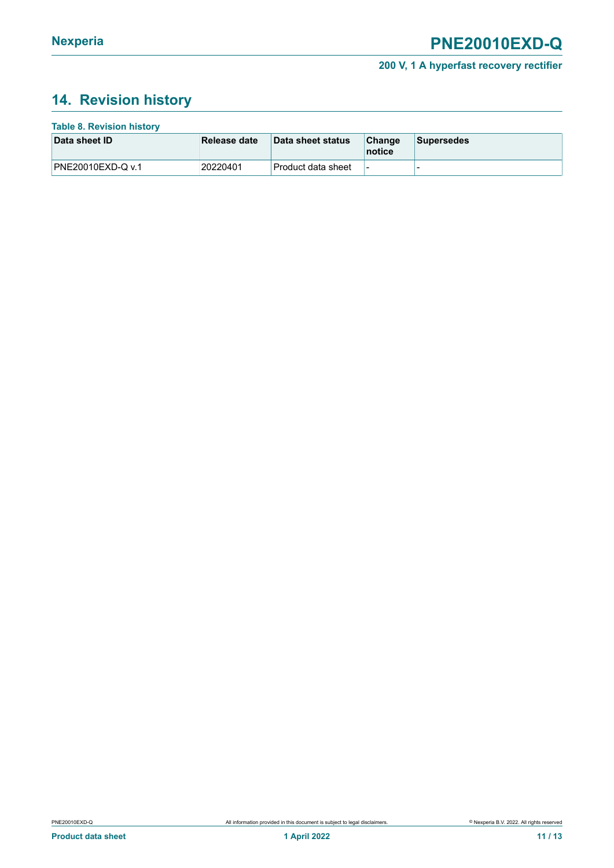# <span id="page-10-0"></span>**14. Revision history**

| <b>Table 8. Revision history</b> |              |                     |                          |                   |
|----------------------------------|--------------|---------------------|--------------------------|-------------------|
| Data sheet ID                    | Release date | Data sheet status   | Change<br>notice         | <b>Supersedes</b> |
| <b>IPNE20010EXD-Q v.1</b>        | 20220401     | ∣Product data sheet | $\overline{\phantom{a}}$ | -                 |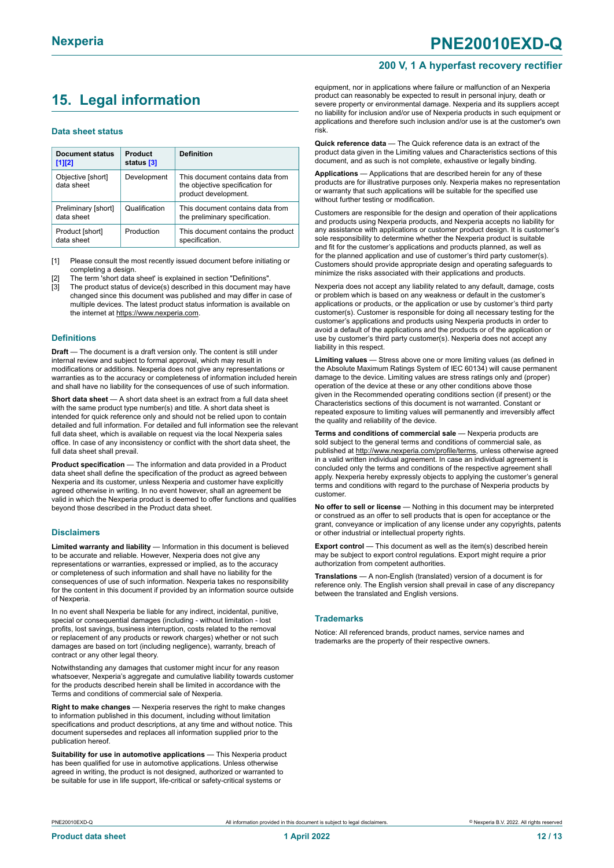# <span id="page-11-0"></span>**15. Legal information**

#### **Data sheet status**

| Document status<br>$[1]$ [2]      | Product<br>status [3] | <b>Definition</b>                                                                           |
|-----------------------------------|-----------------------|---------------------------------------------------------------------------------------------|
| Objective [short]<br>data sheet   | Development           | This document contains data from<br>the objective specification for<br>product development. |
| Preliminary [short]<br>data sheet | Qualification         | This document contains data from<br>the preliminary specification.                          |
| Product [short]<br>data sheet     | Production            | This document contains the product<br>specification.                                        |

[1] Please consult the most recently issued document before initiating or completing a design.

- The term 'short data sheet' is explained in section "Definitions".
- [3] The product status of device(s) described in this document may have changed since this document was published and may differ in case of multiple devices. The latest product status information is available on the internet at [https://www.nexperia.com.](https://www.nexperia.com)

#### **Definitions**

**Draft** — The document is a draft version only. The content is still under internal review and subject to formal approval, which may result in modifications or additions. Nexperia does not give any representations or warranties as to the accuracy or completeness of information included herein and shall have no liability for the consequences of use of such information.

**Short data sheet** — A short data sheet is an extract from a full data sheet with the same product type number(s) and title. A short data sheet is intended for quick reference only and should not be relied upon to contain detailed and full information. For detailed and full information see the relevant full data sheet, which is available on request via the local Nexperia sales office. In case of any inconsistency or conflict with the short data sheet, the full data sheet shall prevail.

**Product specification** — The information and data provided in a Product data sheet shall define the specification of the product as agreed between Nexperia and its customer, unless Nexperia and customer have explicitly agreed otherwise in writing. In no event however, shall an agreement be valid in which the Nexperia product is deemed to offer functions and qualities beyond those described in the Product data sheet.

#### **Disclaimers**

**Limited warranty and liability** — Information in this document is believed to be accurate and reliable. However, Nexperia does not give any representations or warranties, expressed or implied, as to the accuracy or completeness of such information and shall have no liability for the consequences of use of such information. Nexperia takes no responsibility for the content in this document if provided by an information source outside of Nexperia.

In no event shall Nexperia be liable for any indirect, incidental, punitive, special or consequential damages (including - without limitation - lost profits, lost savings, business interruption, costs related to the removal or replacement of any products or rework charges) whether or not such damages are based on tort (including negligence), warranty, breach of contract or any other legal theory.

Notwithstanding any damages that customer might incur for any reason whatsoever, Nexperia's aggregate and cumulative liability towards customer for the products described herein shall be limited in accordance with the Terms and conditions of commercial sale of Nexperia.

**Right to make changes** — Nexperia reserves the right to make changes to information published in this document, including without limitation specifications and product descriptions, at any time and without notice. This document supersedes and replaces all information supplied prior to the publication hereof

**Suitability for use in automotive applications** — This Nexperia product has been qualified for use in automotive applications. Unless otherwise agreed in writing, the product is not designed, authorized or warranted to be suitable for use in life support, life-critical or safety-critical systems or

#### **200 V, 1 A hyperfast recovery rectifier**

equipment, nor in applications where failure or malfunction of an Nexperia product can reasonably be expected to result in personal injury, death or severe property or environmental damage. Nexperia and its suppliers accept no liability for inclusion and/or use of Nexperia products in such equipment or applications and therefore such inclusion and/or use is at the customer's own risk.

**Quick reference data** — The Quick reference data is an extract of the product data given in the Limiting values and Characteristics sections of this document, and as such is not complete, exhaustive or legally binding.

**Applications** — Applications that are described herein for any of these products are for illustrative purposes only. Nexperia makes no representation or warranty that such applications will be suitable for the specified use without further testing or modification.

Customers are responsible for the design and operation of their applications and products using Nexperia products, and Nexperia accepts no liability for any assistance with applications or customer product design. It is customer's sole responsibility to determine whether the Nexperia product is suitable and fit for the customer's applications and products planned, as well as for the planned application and use of customer's third party customer(s). Customers should provide appropriate design and operating safeguards to minimize the risks associated with their applications and products.

Nexperia does not accept any liability related to any default, damage, costs or problem which is based on any weakness or default in the customer's applications or products, or the application or use by customer's third party customer(s). Customer is responsible for doing all necessary testing for the customer's applications and products using Nexperia products in order to avoid a default of the applications and the products or of the application or use by customer's third party customer(s). Nexperia does not accept any liability in this respect.

**Limiting values** — Stress above one or more limiting values (as defined in the Absolute Maximum Ratings System of IEC 60134) will cause permanent damage to the device. Limiting values are stress ratings only and (proper) operation of the device at these or any other conditions above those given in the Recommended operating conditions section (if present) or the Characteristics sections of this document is not warranted. Constant or repeated exposure to limiting values will permanently and irreversibly affect the quality and reliability of the device.

**Terms and conditions of commercial sale** — Nexperia products are sold subject to the general terms and conditions of commercial sale, as published at [http://www.nexperia.com/profile/terms,](http://www.nexperia.com/profile/terms) unless otherwise agreed in a valid written individual agreement. In case an individual agreement is concluded only the terms and conditions of the respective agreement shall apply. Nexperia hereby expressly objects to applying the customer's general terms and conditions with regard to the purchase of Nexperia products by customer.

**No offer to sell or license** — Nothing in this document may be interpreted or construed as an offer to sell products that is open for acceptance or the grant, conveyance or implication of any license under any copyrights, patents or other industrial or intellectual property rights.

**Export control** — This document as well as the item(s) described herein may be subject to export control regulations. Export might require a prior authorization from competent authorities.

**Translations** — A non-English (translated) version of a document is for reference only. The English version shall prevail in case of any discrepancy between the translated and English versions.

#### **Trademarks**

Notice: All referenced brands, product names, service names and trademarks are the property of their respective owners.